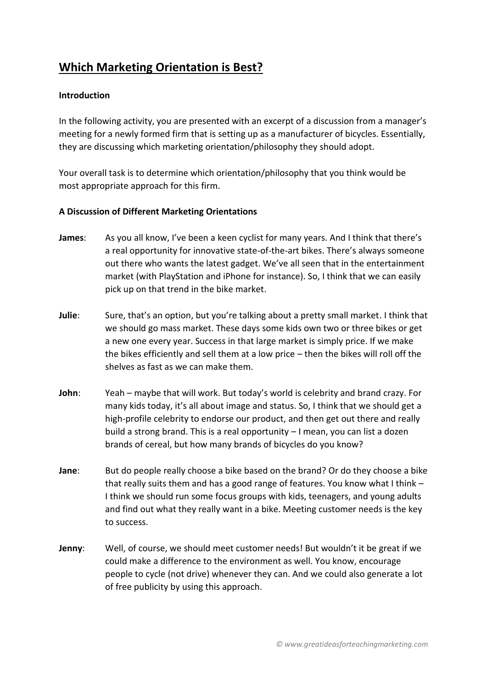## **Which Marketing Orientation is Best?**

## **Introduction**

In the following activity, you are presented with an excerpt of a discussion from a manager's meeting for a newly formed firm that is setting up as a manufacturer of bicycles. Essentially, they are discussing which marketing orientation/philosophy they should adopt.

Your overall task is to determine which orientation/philosophy that you think would be most appropriate approach for this firm.

## **A Discussion of Different Marketing Orientations**

- **James**: As you all know, I've been a keen cyclist for many years. And I think that there's a real opportunity for innovative state-of-the-art bikes. There's always someone out there who wants the latest gadget. We've all seen that in the entertainment market (with PlayStation and iPhone for instance). So, I think that we can easily pick up on that trend in the bike market.
- **Julie**: Sure, that's an option, but you're talking about a pretty small market. I think that we should go mass market. These days some kids own two or three bikes or get a new one every year. Success in that large market is simply price. If we make the bikes efficiently and sell them at a low price – then the bikes will roll off the shelves as fast as we can make them.
- **John**: Yeah maybe that will work. But today's world is celebrity and brand crazy. For many kids today, it's all about image and status. So, I think that we should get a high-profile celebrity to endorse our product, and then get out there and really build a strong brand. This is a real opportunity – I mean, you can list a dozen brands of cereal, but how many brands of bicycles do you know?
- **Jane**: But do people really choose a bike based on the brand? Or do they choose a bike that really suits them and has a good range of features. You know what I think – I think we should run some focus groups with kids, teenagers, and young adults and find out what they really want in a bike. Meeting customer needs is the key to success.
- **Jenny**: Well, of course, we should meet customer needs! But wouldn't it be great if we could make a difference to the environment as well. You know, encourage people to cycle (not drive) whenever they can. And we could also generate a lot of free publicity by using this approach.